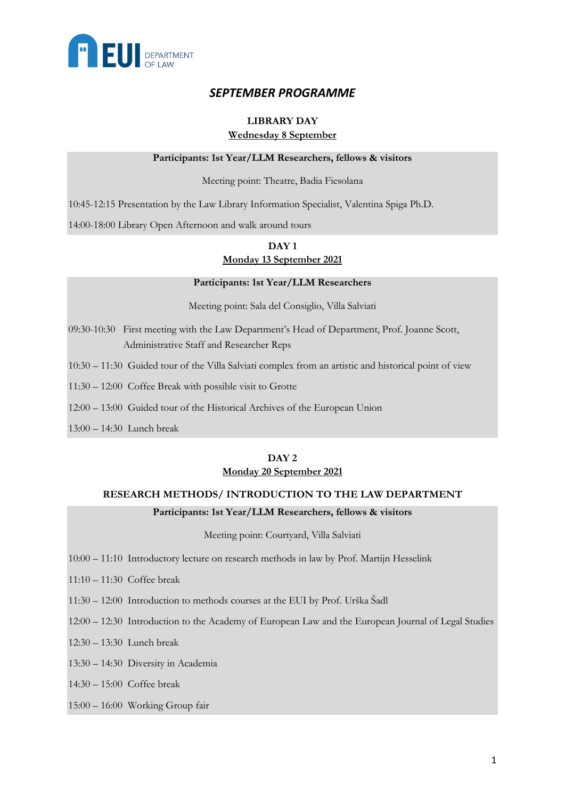

# *SEPTEMBER PROGRAMME*

### **LIBRARY DAY Wednesday 8 September**

#### **Participants: 1st Year/LLM Researchers, fellows & visitors**

#### Meeting point: Theatre, Badia Fiesolana

10:45-12:15 Presentation by the Law Library Information Specialist, Valentina Spiga Ph.D.

14:00-18:00 Library Open Afternoon and walk around tours

# **DAY 1 Monday 13 September 2021**

#### **Participants: 1st Year/LLM Researchers**

Meeting point: Sala del Consiglio, Villa Salviati

- 09:30-10:30 First meeting with the Law Department's Head of Department, Prof. Joanne Scott, Administrative Staff and Researcher Reps
- 10:30 11:30 Guided tour of the Villa Salviati complex from an artistic and historical point of view
- 11:30 12:00 Coffee Break with possible visit to Grotte
- 12:00 13:00 Guided tour of the Historical Archives of the European Union
- 13:00 14:30 Lunch break

#### **DAY 2 Monday 20 September 2021**

#### **RESEARCH METHODS/ INTRODUCTION TO THE LAW DEPARTMENT**

#### **Participants: 1st Year/LLM Researchers, fellows & visitors**

Meeting point: Courtyard, Villa Salviati

- 10:00 11:10 Introductory lecture on research methods in law by Prof. Martijn Hesselink
- 11:10 11:30 Coffee break
- 11:30 12:00 Introduction to methods courses at the EUI by Prof. Urška Šadl
- 12:00 12:30 Introduction to the Academy of European Law and the European Journal of Legal Studies
- 12:30 13:30 Lunch break
- 13:30 14:30 Diversity in Academia
- 14:30 15:00 Coffee break
- 15:00 16:00 Working Group fair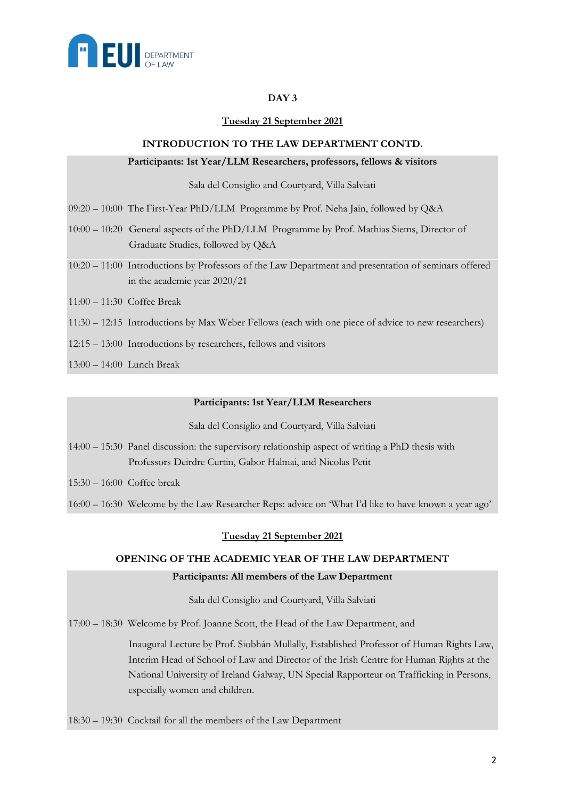

### **DAY 3**

#### **Tuesday 21 September 2021**

#### **INTRODUCTION TO THE LAW DEPARTMENT CONTD.**

#### **Participants: 1st Year/LLM Researchers, professors, fellows & visitors**

Sala del Consiglio and Courtyard, Villa Salviati

- 09:20 10:00 The First-Year PhD/LLM Programme by Prof. Neha Jain, followed by Q&A
- 10:00 10:20 General aspects of the PhD/LLM Programme by Prof. Mathias Siems, Director of Graduate Studies, followed by Q&A
- 10:20 11:00 Introductions by Professors of the Law Department and presentation of seminars offered in the academic year 2020/21
- 11:00 11:30 Coffee Break
- 11:30 12:15 Introductions by Max Weber Fellows (each with one piece of advice to new researchers)
- 12:15 13:00 Introductions by researchers, fellows and visitors
- 13:00 14:00 Lunch Break

#### **Participants: 1st Year/LLM Researchers**

Sala del Consiglio and Courtyard, Villa Salviati

- 14:00 15:30 Panel discussion: the supervisory relationship aspect of writing a PhD thesis with Professors Deirdre Curtin, Gabor Halmai, and Nicolas Petit
- 15:30 16:00 Coffee break

16:00 – 16:30 Welcome by the Law Researcher Reps: advice on 'What I'd like to have known a year ago'

#### **Tuesday 21 September 2021**

#### **OPENING OF THE ACADEMIC YEAR OF THE LAW DEPARTMENT**

#### **Participants: All members of the Law Department**

Sala del Consiglio and Courtyard, Villa Salviati

17:00 – 18:30 Welcome by Prof. Joanne Scott, the Head of the Law Department, and

 Inaugural Lecture by Prof. Siobhán Mullally, Established Professor of Human Rights Law, Interim Head of School of Law and Director of the Irish Centre for Human Rights at the National University of Ireland Galway, UN Special Rapporteur on Trafficking in Persons, especially women and children.

18:30 – 19:30 Cocktail for all the members of the Law Department